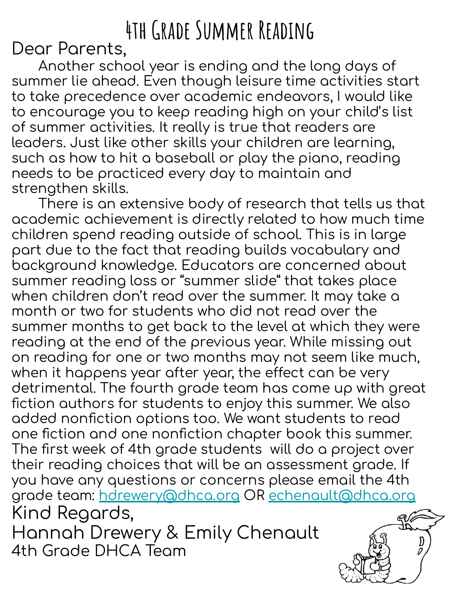## **4th Grade Summer Reading**

Dear Parents,

Another school year is ending and the long days of summer lie ahead. Even though leisure time activities start to take precedence over academic endeavors, I would like to encourage you to keep reading high on your child's list of summer activities. It really is true that readers are leaders. Just like other skills your children are learning, such as how to hit a baseball or play the piano, reading needs to be practiced every day to maintain and strengthen skills.

There is an extensive body of research that tells us that academic achievement is directly related to how much time children spend reading outside of school. This is in large part due to the fact that reading builds vocabulary and background knowledge. Educators are concerned about summer reading loss or "summer slide" that takes place when children don't read over the summer. It may take a month or two for students who did not read over the summer months to get back to the level at which they were reading at the end of the previous year. While missing out on reading for one or two months may not seem like much, when it happens year after year, the effect can be very detrimental. The fourth grade team has come up with great fiction authors for students to enjoy this summer. We also added nonfiction options too. We want students to read one fiction and one nonfiction chapter book this summer. The first week of 4th grade students will do a project over their reading choices that will be an assessment grade. If you have any questions or concerns please email the 4th grade team: hdrewery@dhca.org OR echenault@dhca.org Kind Regards, Hannah Drewery & Emily Chenault 4th Grade DHCA Team